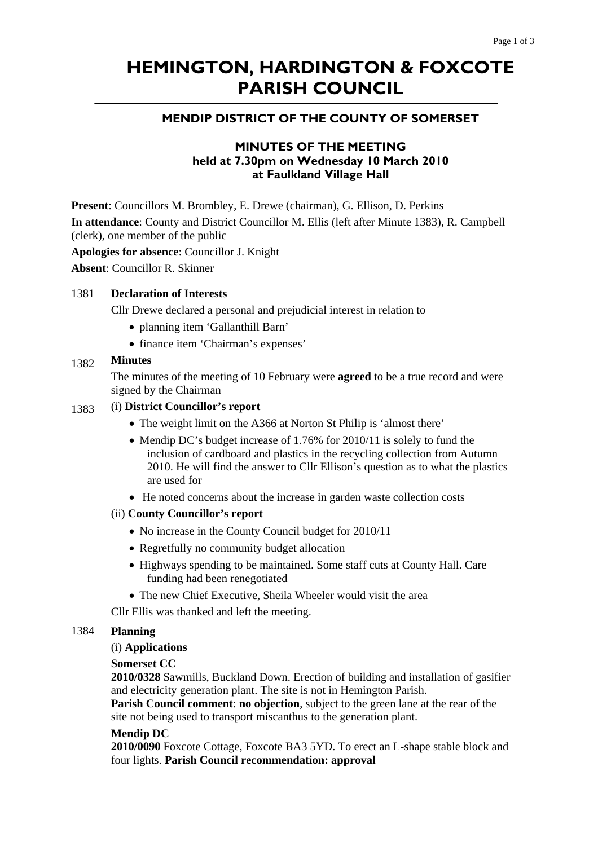# **HEMINGTON, HARDINGTON & FOXCOTE PARISH COUNCIL**

# **MENDIP DISTRICT OF THE COUNTY OF SOMERSET**

# **MINUTES OF THE MEETING held at 7.30pm on Wednesday 10 March 2010 at Faulkland Village Hall**

**Present**: Councillors M. Brombley, E. Drewe (chairman), G. Ellison, D. Perkins

**In attendance**: County and District Councillor M. Ellis (left after Minute 1383), R. Campbell (clerk), one member of the public

**Apologies for absence**: Councillor J. Knight

**Absent**: Councillor R. Skinner

#### 1381 **Declaration of Interests**

Cllr Drewe declared a personal and prejudicial interest in relation to

- planning item 'Gallanthill Barn'
- finance item 'Chairman's expenses'

#### 1382 **Minutes**

The minutes of the meeting of 10 February were **agreed** to be a true record and were signed by the Chairman

## 1383 (i) **District Councillor's report**

- The weight limit on the A366 at Norton St Philip is 'almost there'
- Mendip DC's budget increase of 1.76% for 2010/11 is solely to fund the inclusion of cardboard and plastics in the recycling collection from Autumn 2010. He will find the answer to Cllr Ellison's question as to what the plastics are used for
- He noted concerns about the increase in garden waste collection costs

### (ii) **County Councillor's report**

- No increase in the County Council budget for 2010/11
- Regretfully no community budget allocation
- Highways spending to be maintained. Some staff cuts at County Hall. Care funding had been renegotiated
- The new Chief Executive, Sheila Wheeler would visit the area

Cllr Ellis was thanked and left the meeting.

#### 1384 **Planning**

#### (i) **Applications**

#### **Somerset CC**

**2010/0328** Sawmills, Buckland Down. Erection of building and installation of gasifier and electricity generation plant. The site is not in Hemington Parish.

**Parish Council comment**: **no objection**, subject to the green lane at the rear of the site not being used to transport miscanthus to the generation plant.

#### **Mendip DC**

**2010/0090** Foxcote Cottage, Foxcote BA3 5YD. To erect an L-shape stable block and four lights. **Parish Council recommendation: approval**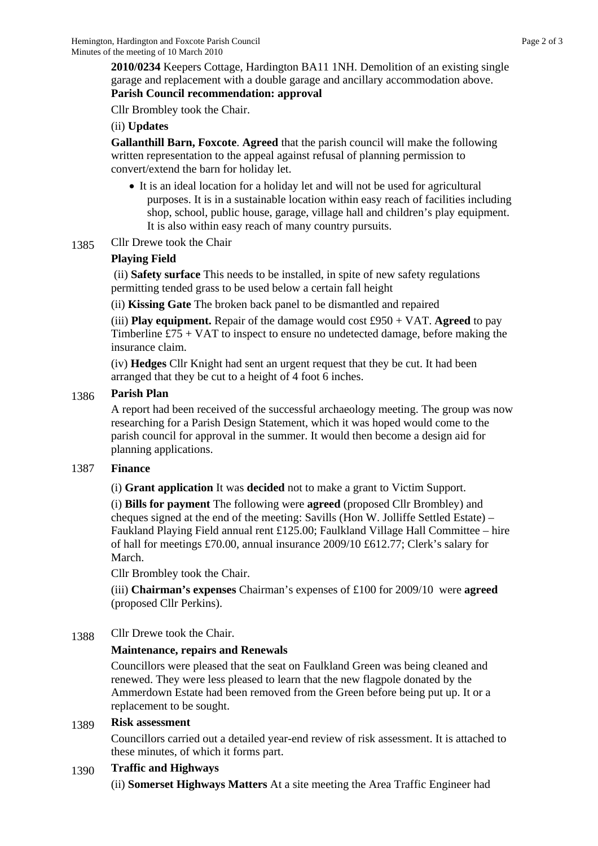**2010/0234** Keepers Cottage, Hardington BA11 1NH. Demolition of an existing single garage and replacement with a double garage and ancillary accommodation above. **Parish Council recommendation: approval** 

Cllr Brombley took the Chair.

## (ii) **Updates**

**Gallanthill Barn, Foxcote**. **Agreed** that the parish council will make the following written representation to the appeal against refusal of planning permission to convert/extend the barn for holiday let.

- It is an ideal location for a holiday let and will not be used for agricultural purposes. It is in a sustainable location within easy reach of facilities including shop, school, public house, garage, village hall and children's play equipment. It is also within easy reach of many country pursuits.
- 1385 Cllr Drewe took the Chair

## **Playing Field**

 (ii) **Safety surface** This needs to be installed, in spite of new safety regulations permitting tended grass to be used below a certain fall height

(ii) **Kissing Gate** The broken back panel to be dismantled and repaired

(iii) **Play equipment.** Repair of the damage would cost £950 + VAT. **Agreed** to pay Timberline  $£75 + VAT$  to inspect to ensure no undetected damage, before making the insurance claim.

(iv) **Hedges** Cllr Knight had sent an urgent request that they be cut. It had been arranged that they be cut to a height of 4 foot 6 inches.

## 1386 **Parish Plan**

A report had been received of the successful archaeology meeting. The group was now researching for a Parish Design Statement, which it was hoped would come to the parish council for approval in the summer. It would then become a design aid for planning applications.

## 1387 **Finance**

(i) **Grant application** It was **decided** not to make a grant to Victim Support.

(i) **Bills for payment** The following were **agreed** (proposed Cllr Brombley) and cheques signed at the end of the meeting: Savills (Hon W. Jolliffe Settled Estate) – Faukland Playing Field annual rent £125.00; Faulkland Village Hall Committee – hire of hall for meetings £70.00, annual insurance 2009/10 £612.77; Clerk's salary for March.

Cllr Brombley took the Chair.

(iii) **Chairman's expenses** Chairman's expenses of £100 for 2009/10 were **agreed**  (proposed Cllr Perkins).

1388 Cllr Drewe took the Chair.

## **Maintenance, repairs and Renewals**

Councillors were pleased that the seat on Faulkland Green was being cleaned and renewed. They were less pleased to learn that the new flagpole donated by the Ammerdown Estate had been removed from the Green before being put up. It or a replacement to be sought.

## 1389 **Risk assessment**

Councillors carried out a detailed year-end review of risk assessment. It is attached to these minutes, of which it forms part.

## 1390 **Traffic and Highways**

(ii) **Somerset Highways Matters** At a site meeting the Area Traffic Engineer had